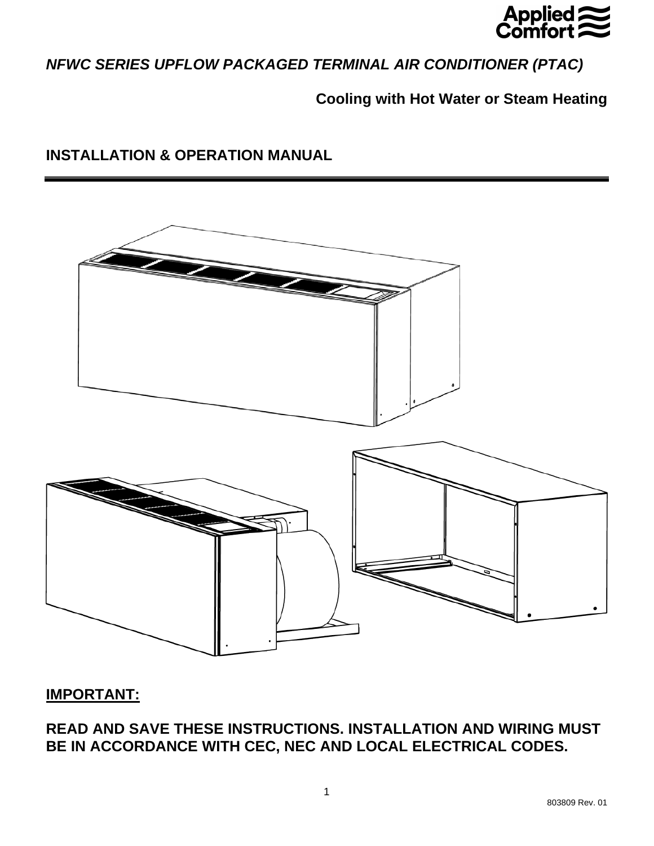

# *NFWC SERIES UPFLOW PACKAGED TERMINAL AIR CONDITIONER (PTAC)*

# **Cooling with Hot Water or Steam Heating**

# **INSTALLATION & OPERATION MANUAL**



# **IMPORTANT:**

**READ AND SAVE THESE INSTRUCTIONS. INSTALLATION AND WIRING MUST BE IN ACCORDANCE WITH CEC, NEC AND LOCAL ELECTRICAL CODES.**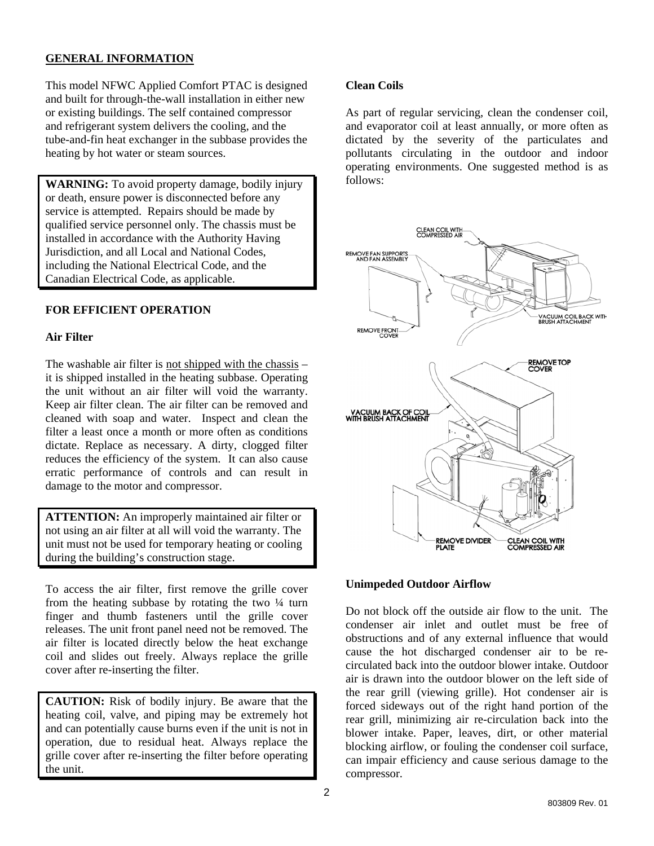# **GENERAL INFORMATION**

This model NFWC Applied Comfort PTAC is designed and built for through-the-wall installation in either new or existing buildings. The self contained compressor and refrigerant system delivers the cooling, and the tube-and-fin heat exchanger in the subbase provides the heating by hot water or steam sources.

**WARNING:** To avoid property damage, bodily injury or death, ensure power is disconnected before any service is attempted. Repairs should be made by qualified service personnel only. The chassis must be installed in accordance with the Authority Having Jurisdiction, and all Local and National Codes, including the National Electrical Code, and the Canadian Electrical Code, as applicable.

## **FOR EFFICIENT OPERATION**

#### **Air Filter**

The washable air filter is not shipped with the chassis – it is shipped installed in the heating subbase. Operating the unit without an air filter will void the warranty. Keep air filter clean. The air filter can be removed and cleaned with soap and water. Inspect and clean the filter a least once a month or more often as conditions dictate. Replace as necessary. A dirty, clogged filter reduces the efficiency of the system. It can also cause erratic performance of controls and can result in damage to the motor and compressor.

**ATTENTION:** An improperly maintained air filter or not using an air filter at all will void the warranty. The unit must not be used for temporary heating or cooling during the building's construction stage.

To access the air filter, first remove the grille cover from the heating subbase by rotating the two  $\frac{1}{4}$  turn finger and thumb fasteners until the grille cover releases. The unit front panel need not be removed. The air filter is located directly below the heat exchange coil and slides out freely. Always replace the grille cover after re-inserting the filter.

**CAUTION:** Risk of bodily injury. Be aware that the heating coil, valve, and piping may be extremely hot and can potentially cause burns even if the unit is not in operation, due to residual heat. Always replace the grille cover after re-inserting the filter before operating the unit.

## **Clean Coils**

As part of regular servicing, clean the condenser coil, and evaporator coil at least annually, or more often as dictated by the severity of the particulates and pollutants circulating in the outdoor and indoor operating environments. One suggested method is as follows:



#### **Unimpeded Outdoor Airflow**

Do not block off the outside air flow to the unit. The condenser air inlet and outlet must be free of obstructions and of any external influence that would cause the hot discharged condenser air to be recirculated back into the outdoor blower intake. Outdoor air is drawn into the outdoor blower on the left side of the rear grill (viewing grille). Hot condenser air is forced sideways out of the right hand portion of the rear grill, minimizing air re-circulation back into the blower intake. Paper, leaves, dirt, or other material blocking airflow, or fouling the condenser coil surface, can impair efficiency and cause serious damage to the compressor.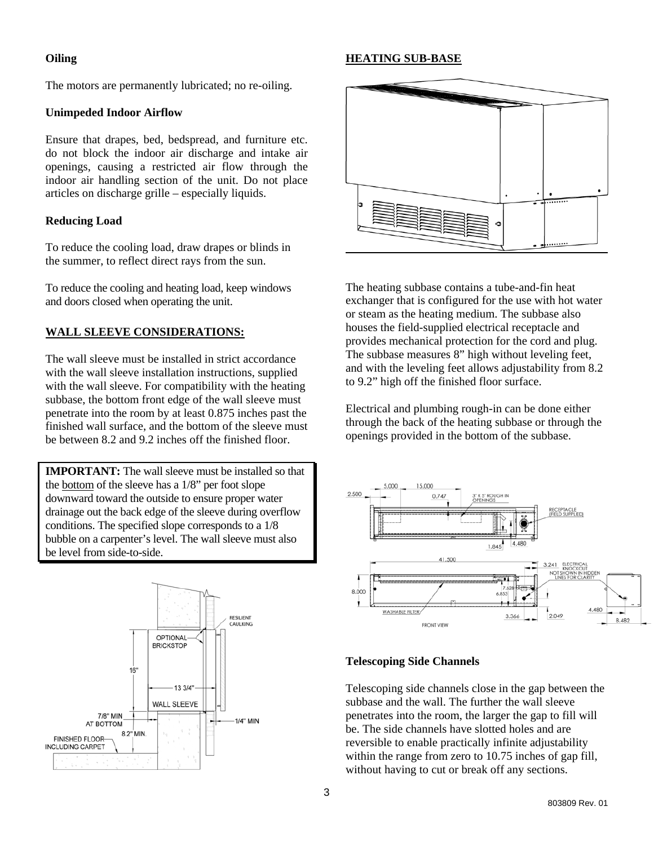## **Oiling**

#### **HEATING SUB-BASE**

The motors are permanently lubricated; no re-oiling.

#### **Unimpeded Indoor Airflow**

Ensure that drapes, bed, bedspread, and furniture etc. do not block the indoor air discharge and intake air openings, causing a restricted air flow through the indoor air handling section of the unit. Do not place articles on discharge grille – especially liquids.

## **Reducing Load**

To reduce the cooling load, draw drapes or blinds in the summer, to reflect direct rays from the sun.

To reduce the cooling and heating load, keep windows and doors closed when operating the unit.

## **WALL SLEEVE CONSIDERATIONS:**

The wall sleeve must be installed in strict accordance with the wall sleeve installation instructions, supplied with the wall sleeve. For compatibility with the heating subbase, the bottom front edge of the wall sleeve must penetrate into the room by at least 0.875 inches past the finished wall surface, and the bottom of the sleeve must be between 8.2 and 9.2 inches off the finished floor.

**IMPORTANT:** The wall sleeve must be installed so that the bottom of the sleeve has a 1/8" per foot slope downward toward the outside to ensure proper water drainage out the back edge of the sleeve during overflow conditions. The specified slope corresponds to a 1/8 bubble on a carpenter's level. The wall sleeve must also be level from side-to-side.





The heating subbase contains a tube-and-fin heat exchanger that is configured for the use with hot water or steam as the heating medium. The subbase also houses the field-supplied electrical receptacle and provides mechanical protection for the cord and plug. The subbase measures 8" high without leveling feet, and with the leveling feet allows adjustability from 8.2 to 9.2" high off the finished floor surface.

Electrical and plumbing rough-in can be done either through the back of the heating subbase or through the openings provided in the bottom of the subbase.



#### **Telescoping Side Channels**

Telescoping side channels close in the gap between the subbase and the wall. The further the wall sleeve penetrates into the room, the larger the gap to fill will be. The side channels have slotted holes and are reversible to enable practically infinite adjustability within the range from zero to 10.75 inches of gap fill, without having to cut or break off any sections.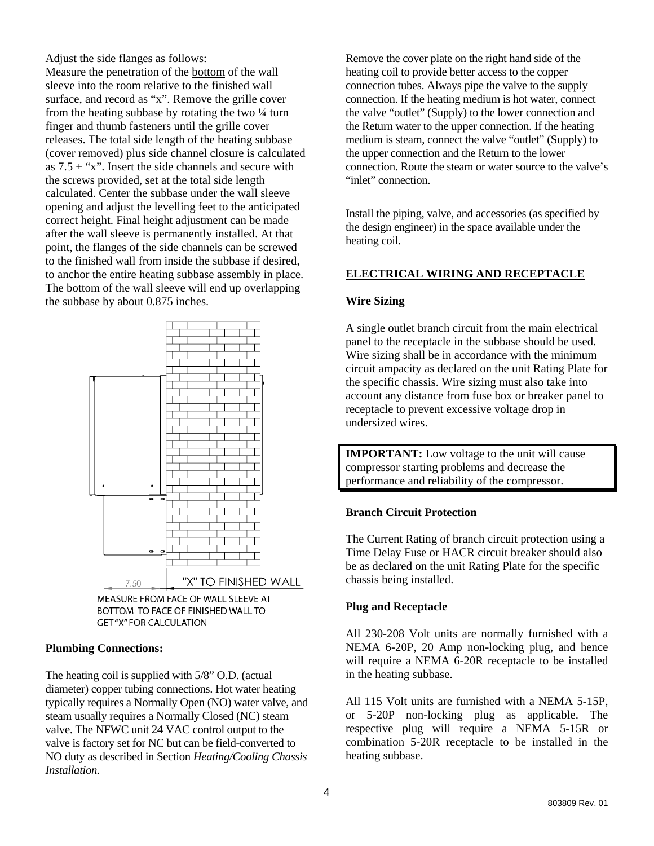Adjust the side flanges as follows: Measure the penetration of the bottom of the wall sleeve into the room relative to the finished wall surface, and record as "x". Remove the grille cover from the heating subbase by rotating the two  $\frac{1}{4}$  turn finger and thumb fasteners until the grille cover releases. The total side length of the heating subbase (cover removed) plus side channel closure is calculated as  $7.5 +$  "x". Insert the side channels and secure with the screws provided, set at the total side length calculated. Center the subbase under the wall sleeve opening and adjust the levelling feet to the anticipated correct height. Final height adjustment can be made after the wall sleeve is permanently installed. At that point, the flanges of the side channels can be screwed to the finished wall from inside the subbase if desired, to anchor the entire heating subbase assembly in place. The bottom of the wall sleeve will end up overlapping the subbase by about 0.875 inches.



MEASURE FROM FACE OF WALL SLEEVE AT BOTTOM TO FACE OF FINISHED WALL TO **GET "X" FOR CALCULATION** 

# **Plumbing Connections:**

The heating coil is supplied with 5/8" O.D. (actual diameter) copper tubing connections. Hot water heating typically requires a Normally Open (NO) water valve, and steam usually requires a Normally Closed (NC) steam valve. The NFWC unit 24 VAC control output to the valve is factory set for NC but can be field-converted to NO duty as described in Section *Heating/Cooling Chassis Installation.* 

Remove the cover plate on the right hand side of the heating coil to provide better access to the copper connection tubes. Always pipe the valve to the supply connection. If the heating medium is hot water, connect the valve "outlet" (Supply) to the lower connection and the Return water to the upper connection. If the heating medium is steam, connect the valve "outlet" (Supply) to the upper connection and the Return to the lower connection. Route the steam or water source to the valve's "inlet" connection.

Install the piping, valve, and accessories (as specified by the design engineer) in the space available under the heating coil.

## **ELECTRICAL WIRING AND RECEPTACLE**

## **Wire Sizing**

A single outlet branch circuit from the main electrical panel to the receptacle in the subbase should be used. Wire sizing shall be in accordance with the minimum circuit ampacity as declared on the unit Rating Plate for the specific chassis. Wire sizing must also take into account any distance from fuse box or breaker panel to receptacle to prevent excessive voltage drop in undersized wires.

**IMPORTANT:** Low voltage to the unit will cause compressor starting problems and decrease the performance and reliability of the compressor.

#### **Branch Circuit Protection**

The Current Rating of branch circuit protection using a Time Delay Fuse or HACR circuit breaker should also be as declared on the unit Rating Plate for the specific chassis being installed.

#### **Plug and Receptacle**

All 230-208 Volt units are normally furnished with a NEMA 6-20P, 20 Amp non-locking plug, and hence will require a NEMA 6-20R receptacle to be installed in the heating subbase.

All 115 Volt units are furnished with a NEMA 5-15P, or 5-20P non-locking plug as applicable. The respective plug will require a NEMA 5-15R or combination 5-20R receptacle to be installed in the heating subbase.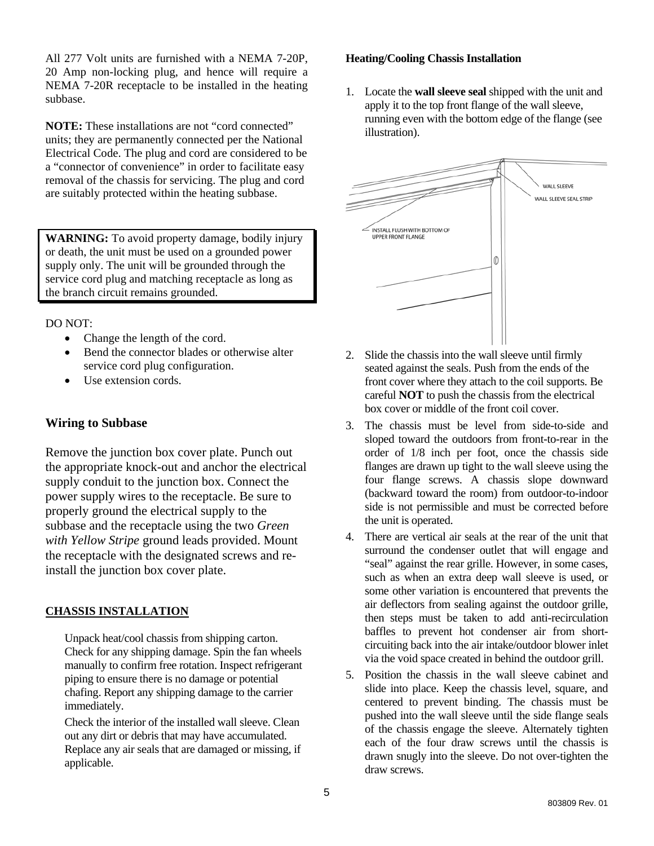All 277 Volt units are furnished with a NEMA 7-20P, 20 Amp non-locking plug, and hence will require a NEMA 7-20R receptacle to be installed in the heating subbase.

**NOTE:** These installations are not "cord connected" units; they are permanently connected per the National Electrical Code. The plug and cord are considered to be a "connector of convenience" in order to facilitate easy removal of the chassis for servicing. The plug and cord are suitably protected within the heating subbase.

**WARNING:** To avoid property damage, bodily injury or death, the unit must be used on a grounded power supply only. The unit will be grounded through the service cord plug and matching receptacle as long as the branch circuit remains grounded.

DO NOT:

- Change the length of the cord.
- Bend the connector blades or otherwise alter service cord plug configuration.
- Use extension cords.

# **Wiring to Subbase**

Remove the junction box cover plate. Punch out the appropriate knock-out and anchor the electrical supply conduit to the junction box. Connect the power supply wires to the receptacle. Be sure to properly ground the electrical supply to the subbase and the receptacle using the two *Green with Yellow Stripe* ground leads provided. Mount the receptacle with the designated screws and reinstall the junction box cover plate.

# **CHASSIS INSTALLATION**

Unpack heat/cool chassis from shipping carton. Check for any shipping damage. Spin the fan wheels manually to confirm free rotation. Inspect refrigerant piping to ensure there is no damage or potential chafing. Report any shipping damage to the carrier immediately.

Check the interior of the installed wall sleeve. Clean out any dirt or debris that may have accumulated. Replace any air seals that are damaged or missing, if applicable.

## **Heating/Cooling Chassis Installation**

1. Locate the **wall sleeve seal** shipped with the unit and apply it to the top front flange of the wall sleeve, running even with the bottom edge of the flange (see illustration).



- 2. Slide the chassis into the wall sleeve until firmly seated against the seals. Push from the ends of the front cover where they attach to the coil supports. Be careful **NOT** to push the chassis from the electrical box cover or middle of the front coil cover.
- 3. The chassis must be level from side-to-side and sloped toward the outdoors from front-to-rear in the order of 1/8 inch per foot, once the chassis side flanges are drawn up tight to the wall sleeve using the four flange screws. A chassis slope downward (backward toward the room) from outdoor-to-indoor side is not permissible and must be corrected before the unit is operated.
- 4. There are vertical air seals at the rear of the unit that surround the condenser outlet that will engage and "seal" against the rear grille. However, in some cases, such as when an extra deep wall sleeve is used, or some other variation is encountered that prevents the air deflectors from sealing against the outdoor grille, then steps must be taken to add anti-recirculation baffles to prevent hot condenser air from shortcircuiting back into the air intake/outdoor blower inlet via the void space created in behind the outdoor grill.
- 5. Position the chassis in the wall sleeve cabinet and slide into place. Keep the chassis level, square, and centered to prevent binding. The chassis must be pushed into the wall sleeve until the side flange seals of the chassis engage the sleeve. Alternately tighten each of the four draw screws until the chassis is drawn snugly into the sleeve. Do not over-tighten the draw screws.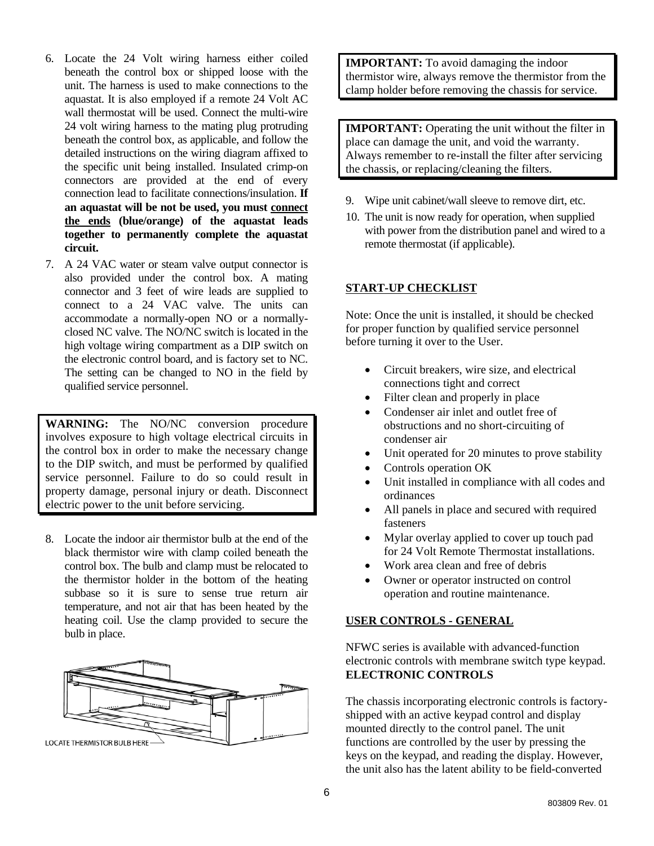- 6. Locate the 24 Volt wiring harness either coiled beneath the control box or shipped loose with the unit. The harness is used to make connections to the aquastat. It is also employed if a remote 24 Volt AC wall thermostat will be used. Connect the multi-wire 24 volt wiring harness to the mating plug protruding beneath the control box, as applicable, and follow the detailed instructions on the wiring diagram affixed to the specific unit being installed. Insulated crimp-on connectors are provided at the end of every connection lead to facilitate connections/insulation. **If an aquastat will be not be used, you must connect the ends (blue/orange) of the aquastat leads together to permanently complete the aquastat circuit.**
- 7. A 24 VAC water or steam valve output connector is also provided under the control box. A mating connector and 3 feet of wire leads are supplied to connect to a 24 VAC valve. The units can accommodate a normally-open NO or a normallyclosed NC valve. The NO/NC switch is located in the high voltage wiring compartment as a DIP switch on the electronic control board, and is factory set to NC. The setting can be changed to NO in the field by qualified service personnel.

**WARNING:** The NO/NC conversion procedure involves exposure to high voltage electrical circuits in the control box in order to make the necessary change to the DIP switch, and must be performed by qualified service personnel. Failure to do so could result in property damage, personal injury or death. Disconnect electric power to the unit before servicing.

8. Locate the indoor air thermistor bulb at the end of the black thermistor wire with clamp coiled beneath the control box. The bulb and clamp must be relocated to the thermistor holder in the bottom of the heating subbase so it is sure to sense true return air temperature, and not air that has been heated by the heating coil. Use the clamp provided to secure the bulb in place.



**IMPORTANT:** To avoid damaging the indoor thermistor wire, always remove the thermistor from the clamp holder before removing the chassis for service.

**IMPORTANT:** Operating the unit without the filter in place can damage the unit, and void the warranty. Always remember to re-install the filter after servicing the chassis, or replacing/cleaning the filters.

- 9. Wipe unit cabinet/wall sleeve to remove dirt, etc.
- 10. The unit is now ready for operation, when supplied with power from the distribution panel and wired to a remote thermostat (if applicable).

#### **START-UP CHECKLIST**

Note: Once the unit is installed, it should be checked for proper function by qualified service personnel before turning it over to the User.

- Circuit breakers, wire size, and electrical connections tight and correct
- Filter clean and properly in place
- Condenser air inlet and outlet free of obstructions and no short-circuiting of condenser air
- Unit operated for 20 minutes to prove stability
- Controls operation OK
- Unit installed in compliance with all codes and ordinances
- All panels in place and secured with required fasteners
- Mylar overlay applied to cover up touch pad for 24 Volt Remote Thermostat installations.
- Work area clean and free of debris
- Owner or operator instructed on control operation and routine maintenance.

# **USER CONTROLS - GENERAL**

NFWC series is available with advanced-function electronic controls with membrane switch type keypad. **ELECTRONIC CONTROLS**

The chassis incorporating electronic controls is factoryshipped with an active keypad control and display mounted directly to the control panel. The unit functions are controlled by the user by pressing the keys on the keypad, and reading the display. However, the unit also has the latent ability to be field-converted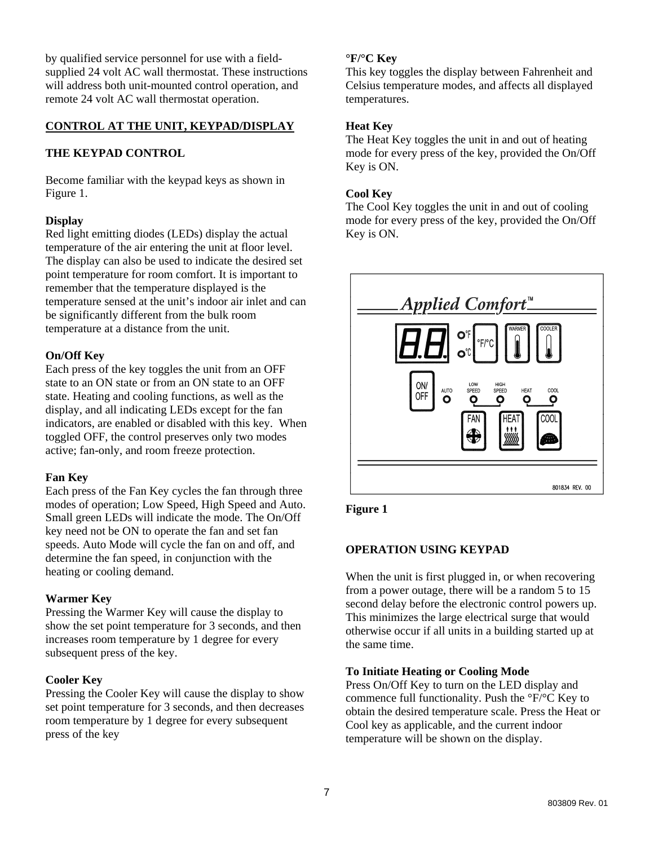by qualified service personnel for use with a fieldsupplied 24 volt AC wall thermostat. These instructions will address both unit-mounted control operation, and remote 24 volt AC wall thermostat operation.

## **CONTROL AT THE UNIT, KEYPAD/DISPLAY**

## **THE KEYPAD CONTROL**

Become familiar with the keypad keys as shown in Figure 1.

## **Display**

Red light emitting diodes (LEDs) display the actual temperature of the air entering the unit at floor level. The display can also be used to indicate the desired set point temperature for room comfort. It is important to remember that the temperature displayed is the temperature sensed at the unit's indoor air inlet and can be significantly different from the bulk room temperature at a distance from the unit.

#### **On/Off Key**

Each press of the key toggles the unit from an OFF state to an ON state or from an ON state to an OFF state. Heating and cooling functions, as well as the display, and all indicating LEDs except for the fan indicators, are enabled or disabled with this key. When toggled OFF, the control preserves only two modes active; fan-only, and room freeze protection.

#### **Fan Key**

Each press of the Fan Key cycles the fan through three modes of operation; Low Speed, High Speed and Auto. Small green LEDs will indicate the mode. The On/Off key need not be ON to operate the fan and set fan speeds. Auto Mode will cycle the fan on and off, and determine the fan speed, in conjunction with the heating or cooling demand.

#### **Warmer Key**

Pressing the Warmer Key will cause the display to show the set point temperature for 3 seconds, and then increases room temperature by 1 degree for every subsequent press of the key.

#### **Cooler Key**

Pressing the Cooler Key will cause the display to show set point temperature for 3 seconds, and then decreases room temperature by 1 degree for every subsequent press of the key

#### **°F/°C Key**

This key toggles the display between Fahrenheit and Celsius temperature modes, and affects all displayed temperatures.

#### **Heat Key**

The Heat Key toggles the unit in and out of heating mode for every press of the key, provided the On/Off Key is ON.

### **Cool Key**

The Cool Key toggles the unit in and out of cooling mode for every press of the key, provided the On/Off Key is ON.



**Figure 1** 

# **OPERATION USING KEYPAD**

When the unit is first plugged in, or when recovering from a power outage, there will be a random 5 to 15 second delay before the electronic control powers up. This minimizes the large electrical surge that would otherwise occur if all units in a building started up at the same time.

#### **To Initiate Heating or Cooling Mode**

Press On/Off Key to turn on the LED display and commence full functionality. Push the °F/°C Key to obtain the desired temperature scale. Press the Heat or Cool key as applicable, and the current indoor temperature will be shown on the display.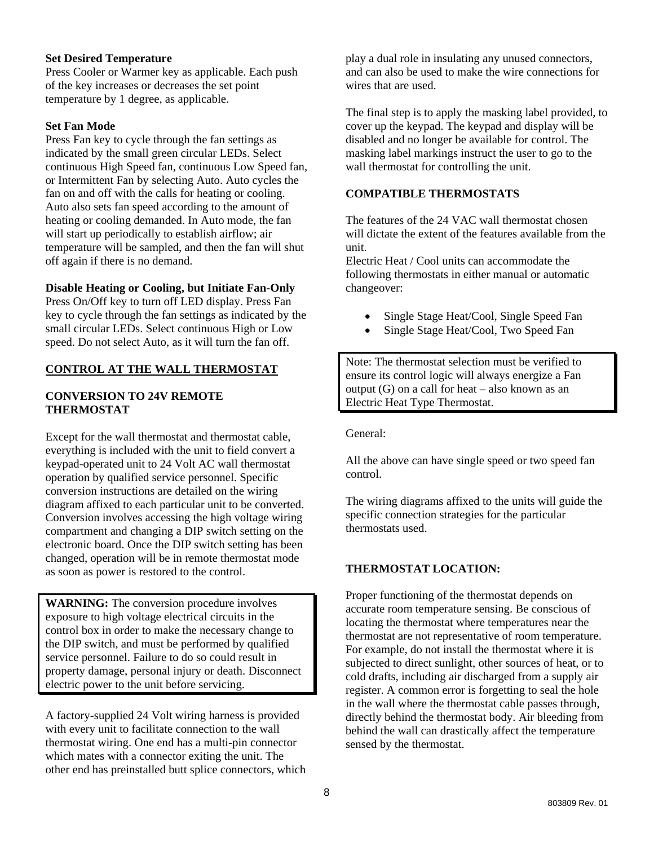## **Set Desired Temperature**

Press Cooler or Warmer key as applicable. Each push of the key increases or decreases the set point temperature by 1 degree, as applicable.

## **Set Fan Mode**

Press Fan key to cycle through the fan settings as indicated by the small green circular LEDs. Select continuous High Speed fan, continuous Low Speed fan, or Intermittent Fan by selecting Auto. Auto cycles the fan on and off with the calls for heating or cooling. Auto also sets fan speed according to the amount of heating or cooling demanded. In Auto mode, the fan will start up periodically to establish airflow; air temperature will be sampled, and then the fan will shut off again if there is no demand.

#### **Disable Heating or Cooling, but Initiate Fan-Only**

Press On/Off key to turn off LED display. Press Fan key to cycle through the fan settings as indicated by the small circular LEDs. Select continuous High or Low speed. Do not select Auto, as it will turn the fan off.

## **CONTROL AT THE WALL THERMOSTAT**

## **CONVERSION TO 24V REMOTE THERMOSTAT**

Except for the wall thermostat and thermostat cable, everything is included with the unit to field convert a keypad-operated unit to 24 Volt AC wall thermostat operation by qualified service personnel. Specific conversion instructions are detailed on the wiring diagram affixed to each particular unit to be converted. Conversion involves accessing the high voltage wiring compartment and changing a DIP switch setting on the electronic board. Once the DIP switch setting has been changed, operation will be in remote thermostat mode as soon as power is restored to the control.

**WARNING:** The conversion procedure involves exposure to high voltage electrical circuits in the control box in order to make the necessary change to the DIP switch, and must be performed by qualified service personnel. Failure to do so could result in property damage, personal injury or death. Disconnect electric power to the unit before servicing.

A factory-supplied 24 Volt wiring harness is provided with every unit to facilitate connection to the wall thermostat wiring. One end has a multi-pin connector which mates with a connector exiting the unit. The other end has preinstalled butt splice connectors, which

play a dual role in insulating any unused connectors, and can also be used to make the wire connections for wires that are used.

The final step is to apply the masking label provided, to cover up the keypad. The keypad and display will be disabled and no longer be available for control. The masking label markings instruct the user to go to the wall thermostat for controlling the unit.

## **COMPATIBLE THERMOSTATS**

The features of the 24 VAC wall thermostat chosen will dictate the extent of the features available from the unit.

Electric Heat / Cool units can accommodate the following thermostats in either manual or automatic changeover:

- Single Stage Heat/Cool, Single Speed Fan
- Single Stage Heat/Cool, Two Speed Fan

Note: The thermostat selection must be verified to ensure its control logic will always energize a Fan output (G) on a call for heat – also known as an Electric Heat Type Thermostat.

General:

All the above can have single speed or two speed fan control.

The wiring diagrams affixed to the units will guide the specific connection strategies for the particular thermostats used.

#### **THERMOSTAT LOCATION:**

Proper functioning of the thermostat depends on accurate room temperature sensing. Be conscious of locating the thermostat where temperatures near the thermostat are not representative of room temperature. For example, do not install the thermostat where it is subjected to direct sunlight, other sources of heat, or to cold drafts, including air discharged from a supply air register. A common error is forgetting to seal the hole in the wall where the thermostat cable passes through, directly behind the thermostat body. Air bleeding from behind the wall can drastically affect the temperature sensed by the thermostat.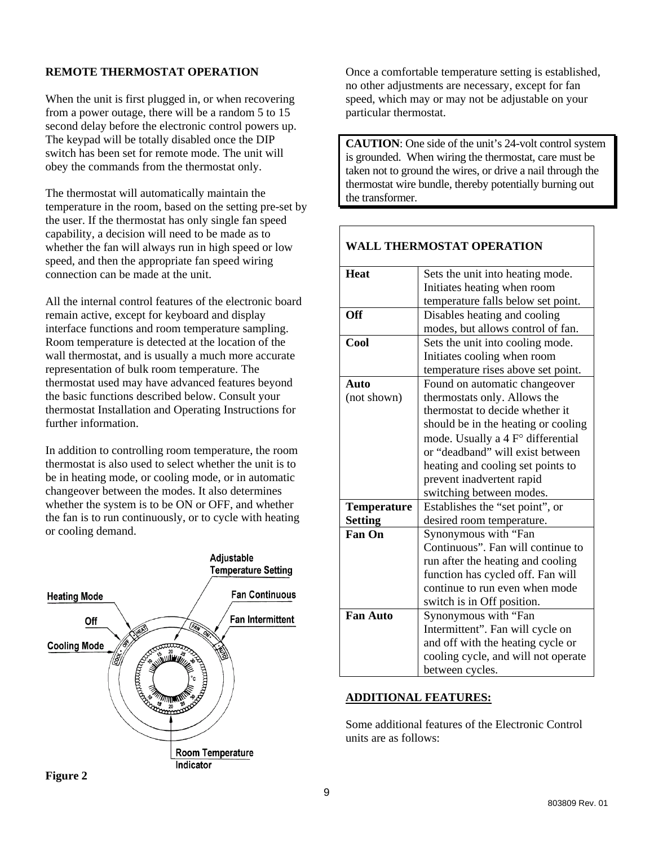## **REMOTE THERMOSTAT OPERATION**

When the unit is first plugged in, or when recovering from a power outage, there will be a random 5 to 15 second delay before the electronic control powers up. The keypad will be totally disabled once the DIP switch has been set for remote mode. The unit will obey the commands from the thermostat only.

The thermostat will automatically maintain the temperature in the room, based on the setting pre-set by the user. If the thermostat has only single fan speed capability, a decision will need to be made as to whether the fan will always run in high speed or low speed, and then the appropriate fan speed wiring connection can be made at the unit.

All the internal control features of the electronic board remain active, except for keyboard and display interface functions and room temperature sampling. Room temperature is detected at the location of the wall thermostat, and is usually a much more accurate representation of bulk room temperature. The thermostat used may have advanced features beyond the basic functions described below. Consult your thermostat Installation and Operating Instructions for further information.

In addition to controlling room temperature, the room thermostat is also used to select whether the unit is to be in heating mode, or cooling mode, or in automatic changeover between the modes. It also determines whether the system is to be ON or OFF, and whether the fan is to run continuously, or to cycle with heating or cooling demand.



Once a comfortable temperature setting is established, no other adjustments are necessary, except for fan speed, which may or may not be adjustable on your particular thermostat.

**CAUTION**: One side of the unit's 24-volt control system is grounded. When wiring the thermostat, care must be taken not to ground the wires, or drive a nail through the thermostat wire bundle, thereby potentially burning out the transformer.

## **WALL THERMOSTAT OPERATION**

| <b>Heat</b>        | Sets the unit into heating mode.    |  |  |  |
|--------------------|-------------------------------------|--|--|--|
|                    | Initiates heating when room         |  |  |  |
|                    | temperature falls below set point.  |  |  |  |
| <b>Off</b>         | Disables heating and cooling        |  |  |  |
|                    | modes, but allows control of fan.   |  |  |  |
| Cool               | Sets the unit into cooling mode.    |  |  |  |
|                    | Initiates cooling when room         |  |  |  |
|                    | temperature rises above set point.  |  |  |  |
| Auto               | Found on automatic changeover       |  |  |  |
| (not shown)        | thermostats only. Allows the        |  |  |  |
|                    | thermostat to decide whether it     |  |  |  |
|                    | should be in the heating or cooling |  |  |  |
|                    | mode. Usually a 4 F° differential   |  |  |  |
|                    | or "deadband" will exist between    |  |  |  |
|                    | heating and cooling set points to   |  |  |  |
|                    | prevent inadvertent rapid           |  |  |  |
|                    | switching between modes.            |  |  |  |
| <b>Temperature</b> | Establishes the "set point", or     |  |  |  |
| <b>Setting</b>     | desired room temperature.           |  |  |  |
| <b>Fan On</b>      | Synonymous with "Fan                |  |  |  |
|                    | Continuous". Fan will continue to   |  |  |  |
|                    | run after the heating and cooling   |  |  |  |
|                    | function has cycled off. Fan will   |  |  |  |
|                    | continue to run even when mode      |  |  |  |
|                    | switch is in Off position.          |  |  |  |
| <b>Fan Auto</b>    | Synonymous with "Fan                |  |  |  |
|                    | Intermittent". Fan will cycle on    |  |  |  |
|                    | and off with the heating cycle or   |  |  |  |
|                    | cooling cycle, and will not operate |  |  |  |
|                    | between cycles.                     |  |  |  |

#### **ADDITIONAL FEATURES:**

Some additional features of the Electronic Control units are as follows:

**Figure 2**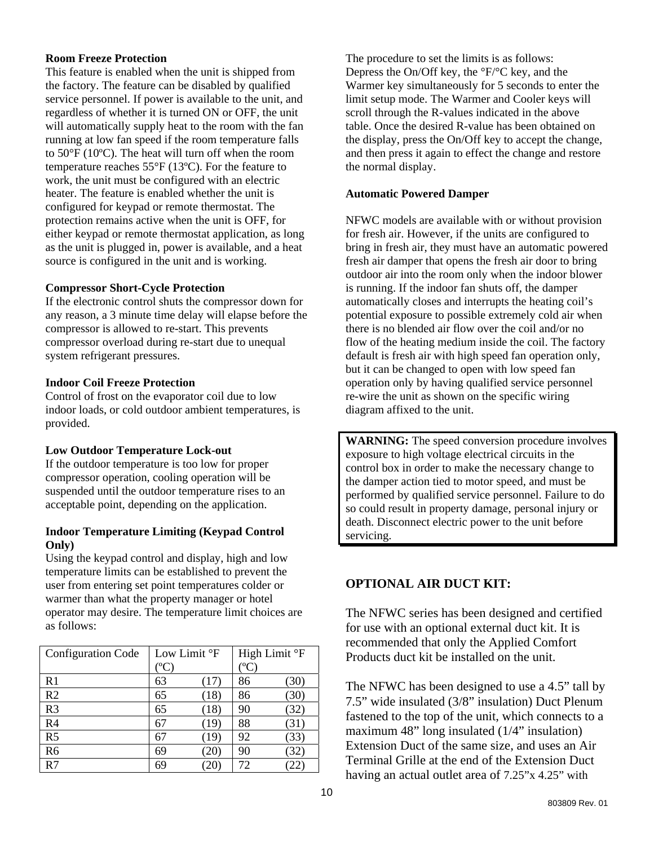## **Room Freeze Protection**

This feature is enabled when the unit is shipped from the factory. The feature can be disabled by qualified service personnel. If power is available to the unit, and regardless of whether it is turned ON or OFF, the unit will automatically supply heat to the room with the fan running at low fan speed if the room temperature falls to 50°F (10ºC). The heat will turn off when the room temperature reaches 55°F (13ºC). For the feature to work, the unit must be configured with an electric heater. The feature is enabled whether the unit is configured for keypad or remote thermostat. The protection remains active when the unit is OFF, for either keypad or remote thermostat application, as long as the unit is plugged in, power is available, and a heat source is configured in the unit and is working.

#### **Compressor Short-Cycle Protection**

If the electronic control shuts the compressor down for any reason, a 3 minute time delay will elapse before the compressor is allowed to re-start. This prevents compressor overload during re-start due to unequal system refrigerant pressures.

#### **Indoor Coil Freeze Protection**

Control of frost on the evaporator coil due to low indoor loads, or cold outdoor ambient temperatures, is provided.

#### **Low Outdoor Temperature Lock-out**

If the outdoor temperature is too low for proper compressor operation, cooling operation will be suspended until the outdoor temperature rises to an acceptable point, depending on the application.

#### **Indoor Temperature Limiting (Keypad Control Only)**

Using the keypad control and display, high and low temperature limits can be established to prevent the user from entering set point temperatures colder or warmer than what the property manager or hotel operator may desire. The temperature limit choices are as follows:

| Low Limit °F               |      | High Limit °F     |      |
|----------------------------|------|-------------------|------|
| $^{\mathrm{o}}\mathrm{C})$ |      | $^{\rm o}{\rm C}$ |      |
| 63                         | (17) | 86                | (30) |
| 65                         | (18) | 86                | (30) |
| 65                         | (18) | 90                | (32) |
| 67                         | (19) | 88                | (31) |
| 67                         | (19) | 92                | (33) |
| 69                         | 20)  | 90                | (32) |
| 69                         | 20   | 72                |      |
|                            |      |                   |      |

The procedure to set the limits is as follows: Depress the On/Off key, the °F/°C key, and the Warmer key simultaneously for 5 seconds to enter the limit setup mode. The Warmer and Cooler keys will scroll through the R-values indicated in the above table. Once the desired R-value has been obtained on the display, press the On/Off key to accept the change, and then press it again to effect the change and restore the normal display.

#### **Automatic Powered Damper**

NFWC models are available with or without provision for fresh air. However, if the units are configured to bring in fresh air, they must have an automatic powered fresh air damper that opens the fresh air door to bring outdoor air into the room only when the indoor blower is running. If the indoor fan shuts off, the damper automatically closes and interrupts the heating coil's potential exposure to possible extremely cold air when there is no blended air flow over the coil and/or no flow of the heating medium inside the coil. The factory default is fresh air with high speed fan operation only, but it can be changed to open with low speed fan operation only by having qualified service personnel re-wire the unit as shown on the specific wiring diagram affixed to the unit.

**WARNING:** The speed conversion procedure involves exposure to high voltage electrical circuits in the control box in order to make the necessary change to the damper action tied to motor speed, and must be performed by qualified service personnel. Failure to do so could result in property damage, personal injury or death. Disconnect electric power to the unit before servicing.

# **OPTIONAL AIR DUCT KIT:**

The NFWC series has been designed and certified for use with an optional external duct kit. It is recommended that only the Applied Comfort Products duct kit be installed on the unit.

The NFWC has been designed to use a 4.5" tall by 7.5" wide insulated (3/8" insulation) Duct Plenum fastened to the top of the unit, which connects to a maximum 48" long insulated (1/4" insulation) Extension Duct of the same size, and uses an Air Terminal Grille at the end of the Extension Duct having an actual outlet area of 7.25"x 4.25" with